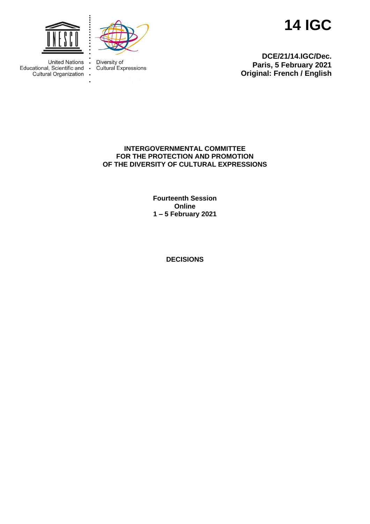



Cultural Expressions

Diversity of

 $\blacksquare$ 

 $\bullet$ 

 $\overline{\phantom{a}}$ 

**14 IGC**

**DCE/21/14.IGC/Dec. Paris, 5 February 2021 Original: French / English**

**United Nations** Educational, Scientific and Cultural Organization

> **INTERGOVERNMENTAL COMMITTEE FOR THE PROTECTION AND PROMOTION OF THE DIVERSITY OF CULTURAL EXPRESSIONS**

> > **Fourteenth Session Online 1 – 5 February 2021**

> > > **DECISIONS**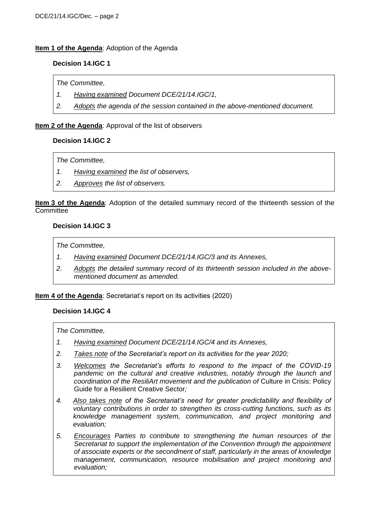# **Item 1 of the Agenda:** Adoption of the Agenda

#### **Decision 14.IGC 1**

*The Committee,*

- *1. Having examined Document DCE/21/14.IGC/1,*
- *2. Adopts the agenda of the session contained in the above-mentioned document.*

#### **Item 2 of the Agenda**: Approval of the list of observers

# **Decision 14.IGC 2**

*The Committee,*

- *1. Having examined the list of observers,*
- *2. Approves the list of observers.*

**Item 3 of the Agenda**: Adoption of the detailed summary record of the thirteenth session of the **Committee** 

#### **Decision 14.IGC 3**

*The Committee,*

- *1. Having examined Document DCE/21/14.IGC/3 and its Annexes,*
- *2. Adopts the detailed summary record of its thirteenth session included in the abovementioned document as amended.*

#### **Item 4 of the Agenda**: Secretariat's report on its activities (2020)

#### **Decision 14.IGC 4**

- *1. Having examined Document DCE/21/14.IGC/4 and its Annexes,*
- *2. Takes note of the Secretariat's report on its activities for the year 2020;*
- *3. Welcomes the Secretariat's efforts to respond to the impact of the COVID-19 pandemic on the cultural and creative industries, notably through the launch and coordination of the ResiliArt movement and the publication of* Culture in Crisis: Policy Guide for a Resilient Creative Sector*;*
- *4. Also takes note of the Secretariat's need for greater predictability and flexibility of voluntary contributions in order to strengthen its cross-cutting functions, such as its knowledge management system, communication, and project monitoring and evaluation;*
- *5. Encourages Parties to contribute to strengthening the human resources of the Secretariat to support the implementation of the Convention through the appointment of associate experts or the secondment of staff, particularly in the areas of knowledge management, communication, resource mobilisation and project monitoring and evaluation;*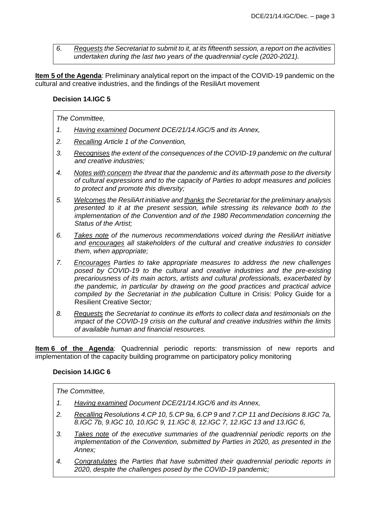*6. Requests the Secretariat to submit to it, at its fifteenth session, a report on the activities undertaken during the last two years of the quadrennial cycle (2020-2021).*

**Item 5 of the Agenda**: Preliminary analytical report on the impact of the COVID-19 pandemic on the cultural and creative industries, and the findings of the ResiliArt movement

# **Decision 14.IGC 5**

## *The Committee,*

- *1. Having examined Document DCE/21/14.IGC/5 and its Annex,*
- *2. Recalling Article 1 of the Convention,*
- *3. Recognises the extent of the consequences of the COVID-19 pandemic on the cultural and creative industries;*
- *4. Notes with concern the threat that the pandemic and its aftermath pose to the diversity of cultural expressions and to the capacity of Parties to adopt measures and policies to protect and promote this diversity;*
- *5. Welcomes the ResiliArt initiative and thanks the Secretariat for the preliminary analysis presented to it at the present session, while stressing its relevance both to the implementation of the Convention and of the 1980 Recommendation concerning the Status of the Artist;*
- *6. Takes note of the numerous recommendations voiced during the ResiliArt initiative and encourages all stakeholders of the cultural and creative industries to consider them, when appropriate;*
- *7. Encourages Parties to take appropriate measures to address the new challenges posed by COVID-19 to the cultural and creative industries and the pre-existing precariousness of its main actors, artists and cultural professionals, exacerbated by the pandemic, in particular by drawing on the good practices and practical advice compiled by the Secretariat in the publication* Culture in Crisis: Policy Guide for a Resilient Creative Sector*;*
- *8. Requests the Secretariat to continue its efforts to collect data and testimonials on the impact of the COVID-19 crisis on the cultural and creative industries within the limits of available human and financial resources.*

**Item 6 of the Agenda**: Quadrennial periodic reports: transmission of new reports and implementation of the capacity building programme on participatory policy monitoring

# **Decision 14.IGC 6**

- *1. Having examined Document DCE/21/14.IGC/6 and its Annex,*
- *2. Recalling Resolutions 4.CP 10, 5.CP 9a, 6.CP 9 and 7.CP 11 and Decisions 8.IGC 7a, 8.IGC 7b, 9.IGC 10, 10.IGC 9, 11.IGC 8, 12.IGC 7, 12.IGC 13 and 13.IGC 6,*
- *3. Takes note of the executive summaries of the quadrennial periodic reports on the implementation of the Convention, submitted by Parties in 2020, as presented in the Annex;*
- *4. Congratulates the Parties that have submitted their quadrennial periodic reports in 2020, despite the challenges posed by the COVID-19 pandemic;*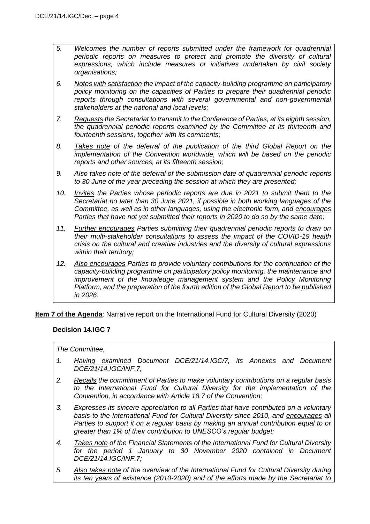- *5. Welcomes the number of reports submitted under the framework for quadrennial periodic reports on measures to protect and promote the diversity of cultural expressions, which include measures or initiatives undertaken by civil society organisations;*
- *6. Notes with satisfaction the impact of the capacity-building programme on participatory policy monitoring on the capacities of Parties to prepare their quadrennial periodic reports through consultations with several governmental and non-governmental stakeholders at the national and local levels;*
- *7. Requests the Secretariat to transmit to the Conference of Parties, at its eighth session, the quadrennial periodic reports examined by the Committee at its thirteenth and fourteenth sessions, together with its comments;*
- *8. Takes note of the deferral of the publication of the third Global Report on the implementation of the Convention worldwide, which will be based on the periodic reports and other sources, at its fifteenth session;*
- *9. Also takes note of the deferral of the submission date of quadrennial periodic reports to 30 June of the year preceding the session at which they are presented;*
- *10. Invites the Parties whose periodic reports are due in 2021 to submit them to the Secretariat no later than 30 June 2021, if possible in both working languages of the Committee, as well as in other languages, using the electronic form, and encourages Parties that have not yet submitted their reports in 2020 to do so by the same date;*
- *11. Further encourages Parties submitting their quadrennial periodic reports to draw on their multi-stakeholder consultations to assess the impact of the COVID-19 health crisis on the cultural and creative industries and the diversity of cultural expressions within their territory;*
- *12. Also encourages Parties to provide voluntary contributions for the continuation of the capacity-building programme on participatory policy monitoring, the maintenance and improvement of the knowledge management system and the Policy Monitoring Platform, and the preparation of the fourth edition of the Global Report to be published in 2026.*

**Item 7 of the Agenda**: Narrative report on the International Fund for Cultural Diversity (2020)

# **Decision 14.IGC 7**

- *1. Having examined Document DCE/21/14.IGC/7, its Annexes and Document DCE/21/14.IGC/INF.7,*
- *2. Recalls the commitment of Parties to make voluntary contributions on a regular basis to the International Fund for Cultural Diversity for the implementation of the Convention, in accordance with Article 18.7 of the Convention;*
- *3. Expresses its sincere appreciation to all Parties that have contributed on a voluntary basis to the International Fund for Cultural Diversity since 2010, and encourages all Parties to support it on a regular basis by making an annual contribution equal to or greater than 1% of their contribution to UNESCO's regular budget;*
- *4. Takes note of the Financial Statements of the International Fund for Cultural Diversity for the period 1 January to 30 November 2020 contained in Document DCE/21/14.IGC/INF.7;*
- *5. Also takes note of the overview of the International Fund for Cultural Diversity during its ten years of existence (2010-2020) and of the efforts made by the Secretariat to*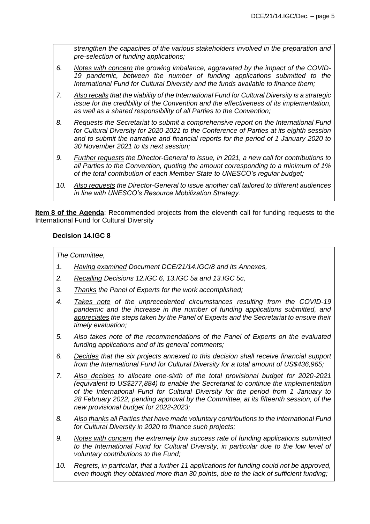*strengthen the capacities of the various stakeholders involved in the preparation and pre-selection of funding applications;* 

- *6. Notes with concern the growing imbalance, aggravated by the impact of the COVID-*19 pandemic, between the number of funding applications submitted to the *International Fund for Cultural Diversity and the funds available to finance them;*
- *7. Also recalls that the viability of the International Fund for Cultural Diversity is a strategic issue for the credibility of the Convention and the effectiveness of its implementation, as well as a shared responsibility of all Parties to the Convention;*
- *8. Requests the Secretariat to submit a comprehensive report on the International Fund for Cultural Diversity for 2020-2021 to the Conference of Parties at its eighth session and to submit the narrative and financial reports for the period of 1 January 2020 to 30 November 2021 to its next session;*
- *9. Further requests the Director-General to issue, in 2021, a new call for contributions to all Parties to the Convention, quoting the amount corresponding to a minimum of 1% of the total contribution of each Member State to UNESCO's regular budget;*
- *10. Also requests the Director-General to issue another call tailored to different audiences in line with UNESCO's Resource Mobilization Strategy.*

**Item 8 of the Agenda**: Recommended projects from the eleventh call for funding requests to the International Fund for Cultural Diversity

# **Decision 14.IGC 8**

- *1. Having examined Document DCE/21/14.IGC/8 and its Annexes,*
- *2. Recalling Decisions 12.IGC 6, 13.IGC 5a and 13.IGC 5c,*
- *3. Thanks the Panel of Experts for the work accomplished;*
- *4. Takes note of the unprecedented circumstances resulting from the COVID-19 pandemic and the increase in the number of funding applications submitted, and appreciates the steps taken by the Panel of Experts and the Secretariat to ensure their timely evaluation;*
- *5. Also takes note of the recommendations of the Panel of Experts on the evaluated funding applications and of its general comments;*
- *6. Decides that the six projects annexed to this decision shall receive financial support from the International Fund for Cultural Diversity for a total amount of US\$436,965;*
- *7. Also decides to allocate one-sixth of the total provisional budget for 2020-2021 (equivalent to US\$277,884) to enable the Secretariat to continue the implementation of the International Fund for Cultural Diversity for the period from 1 January to 28 February 2022, pending approval by the Committee, at its fifteenth session, of the new provisional budget for 2022-2023;*
- *8. Also thanks all Parties that have made voluntary contributions to the International Fund for Cultural Diversity in 2020 to finance such projects;*
- *9. Notes with concern the extremely low success rate of funding applications submitted to the International Fund for Cultural Diversity, in particular due to the low level of voluntary contributions to the Fund;*
- *10. Regrets, in particular, that a further 11 applications for funding could not be approved, even though they obtained more than 30 points, due to the lack of sufficient funding;*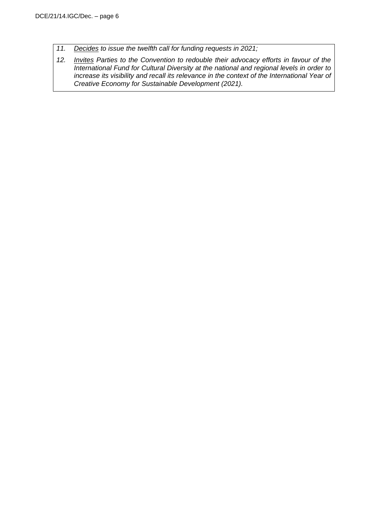*11. Decides to issue the twelfth call for funding requests in 2021;*

*12. Invites Parties to the Convention to redouble their advocacy efforts in favour of the International Fund for Cultural Diversity at the national and regional levels in order to increase its visibility and recall its relevance in the context of the International Year of Creative Economy for Sustainable Development (2021).*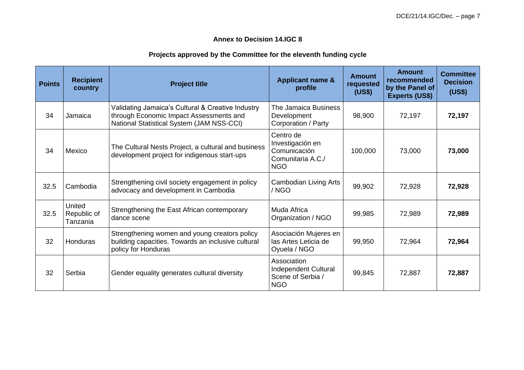# **Annex to Decision 14.IGC 8**

# **Projects approved by the Committee for the eleventh funding cycle**

| <b>Points</b> | <b>Recipient</b><br>country       | <b>Project title</b>                                                                                                                      | <b>Applicant name &amp;</b><br>profile                                           | <b>Amount</b><br>requested<br>(US\$) | Amount<br>recommended<br>by the Panel of<br><b>Experts (US\$)</b> | <b>Committee</b><br><b>Decision</b><br>(US\$) |
|---------------|-----------------------------------|-------------------------------------------------------------------------------------------------------------------------------------------|----------------------------------------------------------------------------------|--------------------------------------|-------------------------------------------------------------------|-----------------------------------------------|
| 34            | Jamaica                           | Validating Jamaica's Cultural & Creative Industry<br>through Economic Impact Assessments and<br>National Statistical System (JAM NSS-CCI) | The Jamaica Business<br>Development<br>Corporation / Party                       | 98,900                               | 72,197                                                            | 72,197                                        |
| 34            | Mexico                            | The Cultural Nests Project, a cultural and business<br>development project for indigenous start-ups                                       | Centro de<br>Investigación en<br>Comunicación<br>Comunitaria A.C./<br><b>NGO</b> | 100,000                              | 73,000                                                            | 73,000                                        |
| 32.5          | Cambodia                          | Strengthening civil society engagement in policy<br>advocacy and development in Cambodia                                                  | Cambodian Living Arts<br>/ NGO                                                   | 99,902                               | 72,928                                                            | 72,928                                        |
| 32.5          | United<br>Republic of<br>Tanzania | Strengthening the East African contemporary<br>dance scene                                                                                | Muda Africa<br>Organization / NGO                                                | 99,985                               | 72,989                                                            | 72,989                                        |
| 32            | Honduras                          | Strengthening women and young creators policy<br>building capacities. Towards an inclusive cultural<br>policy for Honduras                | Asociación Mujeres en<br>las Artes Leticia de<br>Oyuela / NGO                    | 99,950                               | 72,964                                                            | 72,964                                        |
| 32            | Serbia                            | Gender equality generates cultural diversity                                                                                              | Association<br><b>Independent Cultural</b><br>Scene of Serbia /<br><b>NGO</b>    | 99,845                               | 72,887                                                            | 72,887                                        |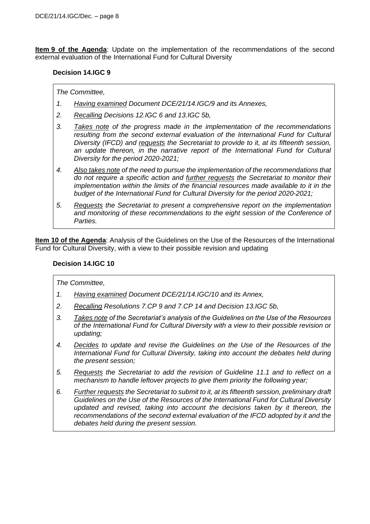**Item 9 of the Agenda**: Update on the implementation of the recommendations of the second external evaluation of the International Fund for Cultural Diversity

# **Decision 14.IGC 9**

#### *The Committee,*

- *1. Having examined Document DCE/21/14.IGC/9 and its Annexes,*
- *2. Recalling Decisions 12.IGC 6 and 13.IGC 5b,*
- *3. Takes note of the progress made in the implementation of the recommendations*  resulting from the second external evaluation of the International Fund for Cultural *Diversity (IFCD) and requests the Secretariat to provide to it, at its fifteenth session,*  an update thereon, in the narrative report of the International Fund for Cultural *Diversity for the period 2020-2021;*
- *4. Also takes note of the need to pursue the implementation of the recommendations that do not require a specific action and further requests the Secretariat to monitor their implementation within the limits of the financial resources made available to it in the budget of the International Fund for Cultural Diversity for the period 2020-2021;*
- *5. Requests the Secretariat to present a comprehensive report on the implementation and monitoring of these recommendations to the eight session of the Conference of Parties.*

**Item 10 of the Agenda**: Analysis of the Guidelines on the Use of the Resources of the International Fund for Cultural Diversity, with a view to their possible revision and updating

## **Decision 14.IGC 10**

- *1. Having examined Document DCE/21/14.IGC/10 and its Annex,*
- *2. Recalling Resolutions 7.CP 9 and 7.CP 14 and Decision 13.IGC 5b,*
- *3. Takes note of the Secretariat's analysis of the Guidelines on the Use of the Resources of the International Fund for Cultural Diversity with a view to their possible revision or updating;*
- *4. Decides to update and revise the Guidelines on the Use of the Resources of the International Fund for Cultural Diversity, taking into account the debates held during the present session;*
- *5. Requests the Secretariat to add the revision of Guideline 11.1 and to reflect on a mechanism to handle leftover projects to give them priority the following year;*
- *6. Further requests the Secretariat to submit to it, at its fifteenth session, preliminary draft Guidelines on the Use of the Resources of the International Fund for Cultural Diversity*  updated and revised, taking into account the decisions taken by it thereon, the *recommendations of the second external evaluation of the IFCD adopted by it and the debates held during the present session.*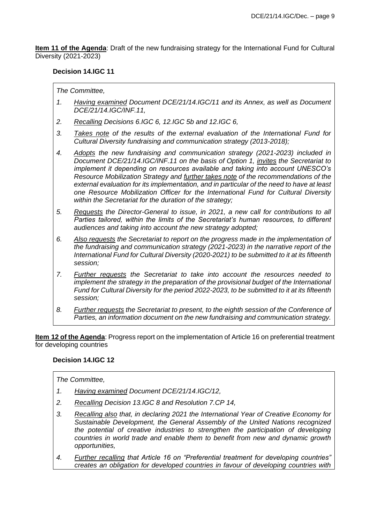**Item 11 of the Agenda**: Draft of the new fundraising strategy for the International Fund for Cultural Diversity (2021-2023)

# **Decision 14.IGC 11**

*The Committee,*

- *1. Having examined Document DCE/21/14.IGC/11 and its Annex, as well as Document DCE/21/14.IGC/INF.11,*
- *2. Recalling Decisions 6.IGC 6, 12.IGC 5b and 12.IGC 6,*
- *3. Takes note of the results of the external evaluation of the International Fund for Cultural Diversity fundraising and communication strategy (2013-2018);*
- *4. Adopts the new fundraising and communication strategy (2021-2023) included in Document DCE/21/14.IGC/INF.11 on the basis of Option 1, invites the Secretariat to implement it depending on resources available and taking into account UNESCO's Resource Mobilization Strategy and further takes note of the recommendations of the external evaluation for its implementation, and in particular of the need to have at least one Resource Mobilization Officer for the International Fund for Cultural Diversity within the Secretariat for the duration of the strategy;*
- *5. Requests the Director-General to issue, in 2021, a new call for contributions to all Parties tailored, within the limits of the Secretariat's human resources, to different audiences and taking into account the new strategy adopted;*
- *6. Also requests the Secretariat to report on the progress made in the implementation of the fundraising and communication strategy (2021-2023) in the narrative report of the International Fund for Cultural Diversity (2020-2021) to be submitted to it at its fifteenth session;*
- *7. Further requests the Secretariat to take into account the resources needed to implement the strategy in the preparation of the provisional budget of the International Fund for Cultural Diversity for the period 2022-2023, to be submitted to it at its fifteenth session;*
- *8. Further requests the Secretariat to present, to the eighth session of the Conference of Parties, an information document on the new fundraising and communication strategy.*

**Item 12 of the Agenda**: Progress report on the implementation of Article 16 on preferential treatment for developing countries

# **Decision 14.IGC 12**

- *1. Having examined Document DCE/21/14.IGC/12,*
- *2. Recalling Decision 13.IGC 8 and Resolution 7.CP 14,*
- *3. Recalling also that, in declaring 2021 the International Year of Creative Economy for Sustainable Development, the General Assembly of the United Nations recognized the potential of creative industries to strengthen the participation of developing countries in world trade and enable them to benefit from new and dynamic growth opportunities,*
- *4. Further recalling that Article 16 on "Preferential treatment for developing countries" creates an obligation for developed countries in favour of developing countries with*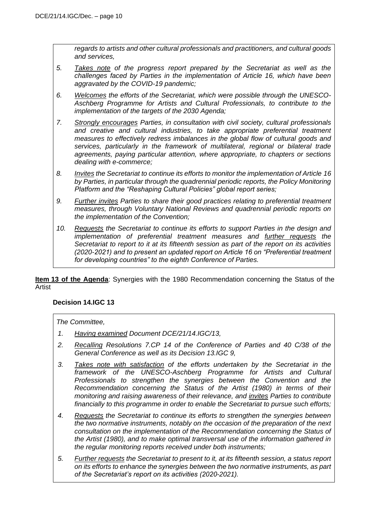*regards to artists and other cultural professionals and practitioners, and cultural goods and services,* 

- *5. Takes note of the progress report prepared by the Secretariat as well as the challenges faced by Parties in the implementation of Article 16, which have been aggravated by the COVID-19 pandemic;*
- *6. Welcomes the efforts of the Secretariat, which were possible through the UNESCO-Aschberg Programme for Artists and Cultural Professionals, to contribute to the implementation of the targets of the 2030 Agenda;*
- *7. Strongly encourages Parties, in consultation with civil society, cultural professionals and creative and cultural industries, to take appropriate preferential treatment measures to effectively redress imbalances in the global flow of cultural goods and services, particularly in the framework of multilateral, regional or bilateral trade agreements, paying particular attention, where appropriate, to chapters or sections dealing with e-commerce;*
- *8. Invites the Secretariat to continue its efforts to monitor the implementation of Article 16 by Parties, in particular through the quadrennial periodic reports, the Policy Monitoring Platform and the "Reshaping Cultural Policies" global report series;*
- *9. Further invites Parties to share their good practices relating to preferential treatment measures, through Voluntary National Reviews and quadrennial periodic reports on the implementation of the Convention;*
- *10. Requests the Secretariat to continue its efforts to support Parties in the design and implementation of preferential treatment measures and further requests the Secretariat to report to it at its fifteenth session as part of the report on its activities (2020-2021) and to present an updated report on Article 16 on "Preferential treatment for developing countries" to the eighth Conference of Parties.*

**Item 13 of the Agenda**: Synergies with the 1980 Recommendation concerning the Status of the Artist

# **Decision 14.IGC 13**

- *1. Having examined Document DCE/21/14.IGC/13,*
- *2. Recalling Resolutions 7.CP 14 of the Conference of Parties and 40 C/38 of the General Conference as well as its Decision 13.IGC 9,*
- *3. Takes note with satisfaction of the efforts undertaken by the Secretariat in the framework of the UNESCO-Aschberg Programme for Artists and Cultural Professionals to strengthen the synergies between the Convention and the Recommendation concerning the Status of the Artist (1980) in terms of their monitoring and raising awareness of their relevance, and invites Parties to contribute financially to this programme in order to enable the Secretariat to pursue such efforts;*
- *4. Requests the Secretariat to continue its efforts to strengthen the synergies between the two normative instruments, notably on the occasion of the preparation of the next consultation on the implementation of the Recommendation concerning the Status of the Artist (1980), and to make optimal transversal use of the information gathered in the regular monitoring reports received under both instruments;*
- *5. Further requests the Secretariat to present to it, at its fifteenth session, a status report on its efforts to enhance the synergies between the two normative instruments, as part of the Secretariat's report on its activities (2020-2021).*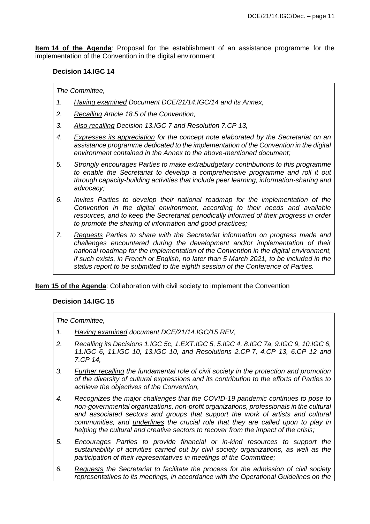**Item 14 of the Agenda**: Proposal for the establishment of an assistance programme for the implementation of the Convention in the digital environment

#### **Decision 14.IGC 14**

#### *The Committee,*

- *1. Having examined Document DCE/21/14.IGC/14 and its Annex,*
- *2. Recalling Article 18.5 of the Convention,*
- *3. Also recalling Decision 13.IGC 7 and Resolution 7.CP 13,*
- *4. Expresses its appreciation for the concept note elaborated by the Secretariat on an assistance programme dedicated to the implementation of the Convention in the digital environment contained in the Annex to the above-mentioned document;*
- *5. Strongly encourages Parties to make extrabudgetary contributions to this programme to enable the Secretariat to develop a comprehensive programme and roll it out through capacity-building activities that include peer learning, information-sharing and advocacy;*
- *6. Invites Parties to develop their national roadmap for the implementation of the Convention in the digital environment, according to their needs and available resources, and to keep the Secretariat periodically informed of their progress in order to promote the sharing of information and good practices;*
- *7. Requests Parties to share with the Secretariat information on progress made and challenges encountered during the development and/or implementation of their national roadmap for the implementation of the Convention in the digital environment, if such exists, in French or English, no later than 5 March 2021, to be included in the status report to be submitted to the eighth session of the Conference of Parties.*

# **Item 15 of the Agenda**: Collaboration with civil society to implement the Convention

# **Decision 14.IGC 15**

- *1. Having examined document DCE/21/14.IGC/15 REV,*
- *2. Recalling its Decisions 1.IGC 5c, 1.EXT.IGC 5, 5.IGC 4, 8.IGC 7a, 9.IGC 9, 10.IGC 6, 11.IGC 6, 11.IGC 10, 13.IGC 10, and Resolutions 2.CP 7, 4.CP 13, 6.CP 12 and 7.CP 14,*
- *3. Further recalling the fundamental role of civil society in the protection and promotion of the diversity of cultural expressions and its contribution to the efforts of Parties to achieve the objectives of the Convention,*
- *4. Recognizes the major challenges that the COVID-19 pandemic continues to pose to non-governmental organizations, non-profit organizations, professionals in the cultural and associated sectors and groups that support the work of artists and cultural communities, and underlines the crucial role that they are called upon to play in helping the cultural and creative sectors to recover from the impact of the crisis;*
- *5. Encourages Parties to provide financial or in-kind resources to support the sustainability of activities carried out by civil society organizations, as well as the participation of their representatives in meetings of the Committee;*
- *6. Requests the Secretariat to facilitate the process for the admission of civil society representatives to its meetings, in accordance with the Operational Guidelines on the*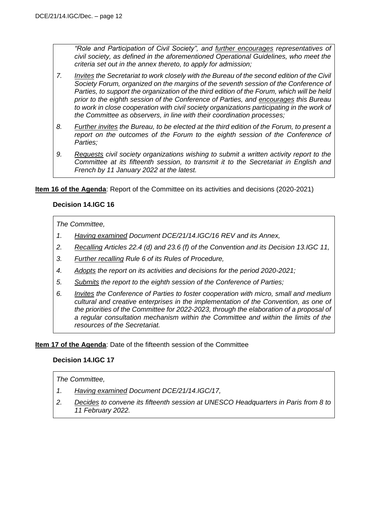*"Role and Participation of Civil Society", and further encourages representatives of civil society, as defined in the aforementioned Operational Guidelines, who meet the criteria set out in the annex thereto, to apply for admission;*

- *7. Invites the Secretariat to work closely with the Bureau of the second edition of the Civil Society Forum, organized on the margins of the seventh session of the Conference of Parties, to support the organization of the third edition of the Forum, which will be held prior to the eighth session of the Conference of Parties, and encourages this Bureau*  to work in close cooperation with civil society organizations participating in the work of *the Committee as observers, in line with their coordination processes;*
- *8. Further invites the Bureau, to be elected at the third edition of the Forum, to present a report on the outcomes of the Forum to the eighth session of the Conference of Parties;*
- *9. Requests civil society organizations wishing to submit a written activity report to the Committee at its fifteenth session, to transmit it to the Secretariat in English and French by 11 January 2022 at the latest.*

**Item 16 of the Agenda**: Report of the Committee on its activities and decisions (2020-2021)

# **Decision 14.IGC 16**

# *The Committee,*

- *1. Having examined Document DCE/21/14.IGC/16 REV and its Annex,*
- *2. Recalling Articles 22.4 (d) and 23.6 (f) of the Convention and its Decision 13.IGC 11,*
- *3. Further recalling Rule 6 of its Rules of Procedure,*
- *4. Adopts the report on its activities and decisions for the period 2020-2021;*
- *5. Submits the report to the eighth session of the Conference of Parties;*
- *6. Invites the Conference of Parties to foster cooperation with micro, small and medium cultural and creative enterprises in the implementation of the Convention, as one of the priorities of the Committee for 2022-2023, through the elaboration of a proposal of a regular consultation mechanism within the Committee and within the limits of the resources of the Secretariat.*

**Item 17 of the Agenda**: Date of the fifteenth session of the Committee

# **Decision 14.IGC 17**

- *1. Having examined Document DCE/21/14.IGC/17,*
- *2. Decides to convene its fifteenth session at UNESCO Headquarters in Paris from 8 to 11 February 2022.*